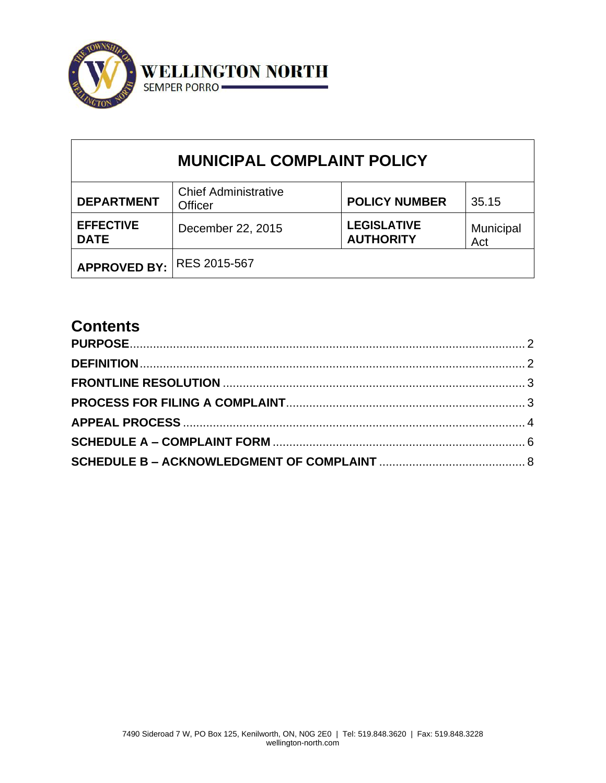

| <b>MUNICIPAL COMPLAINT POLICY</b> |                                        |                                        |                  |  |  |  |  |
|-----------------------------------|----------------------------------------|----------------------------------------|------------------|--|--|--|--|
| <b>DEPARTMENT</b>                 | <b>Chief Administrative</b><br>Officer | <b>POLICY NUMBER</b>                   | 35.15            |  |  |  |  |
| <b>EFFECTIVE</b><br><b>DATE</b>   | December 22, 2015                      | <b>LEGISLATIVE</b><br><b>AUTHORITY</b> | Municipal<br>Act |  |  |  |  |
| <b>APPROVED BY:</b>               | RES 2015-567                           |                                        |                  |  |  |  |  |

# **Contents**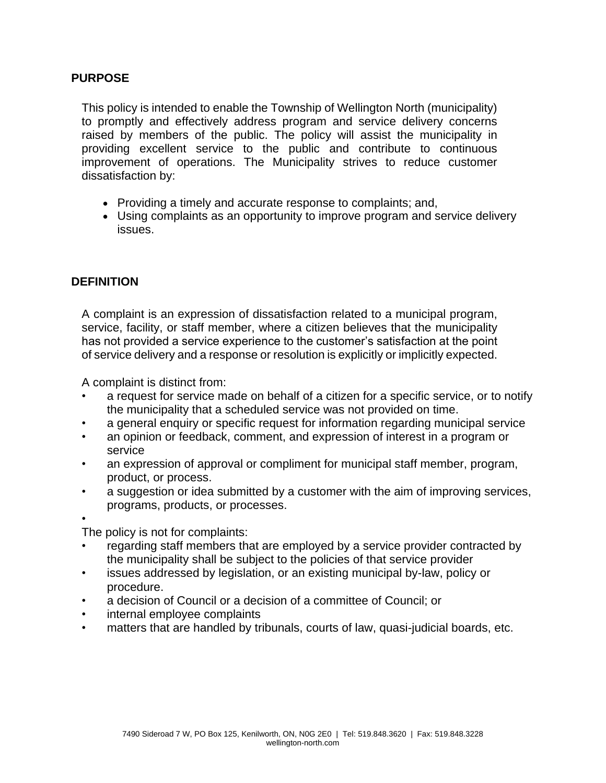#### <span id="page-1-0"></span>**PURPOSE**

This policy is intended to enable the Township of Wellington North (municipality) to promptly and effectively address program and service delivery concerns raised by members of the public. The policy will assist the municipality in providing excellent service to the public and contribute to continuous improvement of operations. The Municipality strives to reduce customer dissatisfaction by:

- Providing a timely and accurate response to complaints; and,
- Using complaints as an opportunity to improve program and service delivery issues.

#### <span id="page-1-1"></span>**DEFINITION**

A complaint is an expression of dissatisfaction related to a municipal program, service, facility, or staff member, where a citizen believes that the municipality has not provided a service experience to the customer's satisfaction at the point of service delivery and a response or resolution is explicitly or implicitly expected.

A complaint is distinct from:

- a request for service made on behalf of a citizen for a specific service, or to notify the municipality that a scheduled service was not provided on time.
- a general enquiry or specific request for information regarding municipal service
- an opinion or feedback, comment, and expression of interest in a program or service
- an expression of approval or compliment for municipal staff member, program, product, or process.
- a suggestion or idea submitted by a customer with the aim of improving services, programs, products, or processes.

• The policy is not for complaints:

- regarding staff members that are employed by a service provider contracted by the municipality shall be subject to the policies of that service provider
- issues addressed by legislation, or an existing municipal by-law, policy or procedure.
- a decision of Council or a decision of a committee of Council; or
- internal employee complaints
- matters that are handled by tribunals, courts of law, quasi-judicial boards, etc.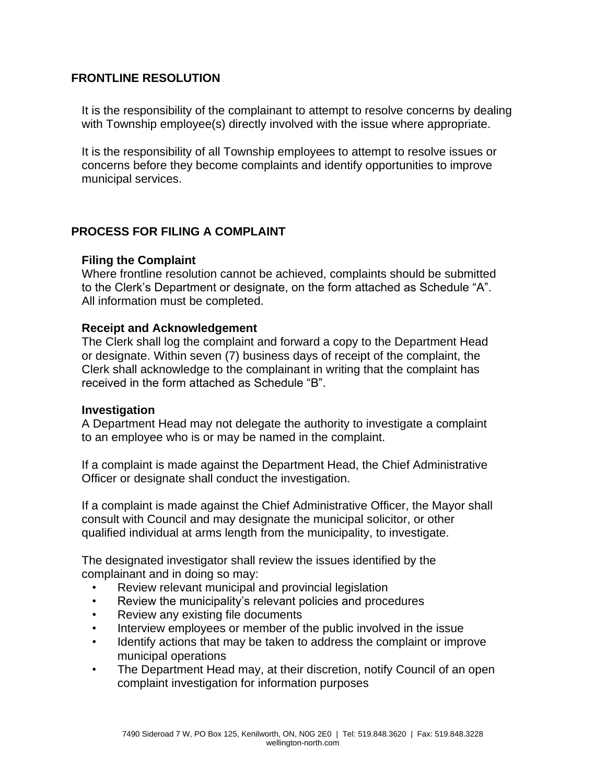#### <span id="page-2-0"></span>**FRONTLINE RESOLUTION**

It is the responsibility of the complainant to attempt to resolve concerns by dealing with Township employee(s) directly involved with the issue where appropriate.

It is the responsibility of all Township employees to attempt to resolve issues or concerns before they become complaints and identify opportunities to improve municipal services.

#### <span id="page-2-1"></span>**PROCESS FOR FILING A COMPLAINT**

#### **Filing the Complaint**

Where frontline resolution cannot be achieved, complaints should be submitted to the Clerk's Department or designate, on the form attached as Schedule "A". All information must be completed.

#### **Receipt and Acknowledgement**

The Clerk shall log the complaint and forward a copy to the Department Head or designate. Within seven (7) business days of receipt of the complaint, the Clerk shall acknowledge to the complainant in writing that the complaint has received in the form attached as Schedule "B".

#### **Investigation**

A Department Head may not delegate the authority to investigate a complaint to an employee who is or may be named in the complaint.

If a complaint is made against the Department Head, the Chief Administrative Officer or designate shall conduct the investigation.

If a complaint is made against the Chief Administrative Officer, the Mayor shall consult with Council and may designate the municipal solicitor, or other qualified individual at arms length from the municipality, to investigate.

The designated investigator shall review the issues identified by the complainant and in doing so may:

- Review relevant municipal and provincial legislation
- Review the municipality's relevant policies and procedures
- Review any existing file documents
- Interview employees or member of the public involved in the issue
- Identify actions that may be taken to address the complaint or improve municipal operations
- The Department Head may, at their discretion, notify Council of an open complaint investigation for information purposes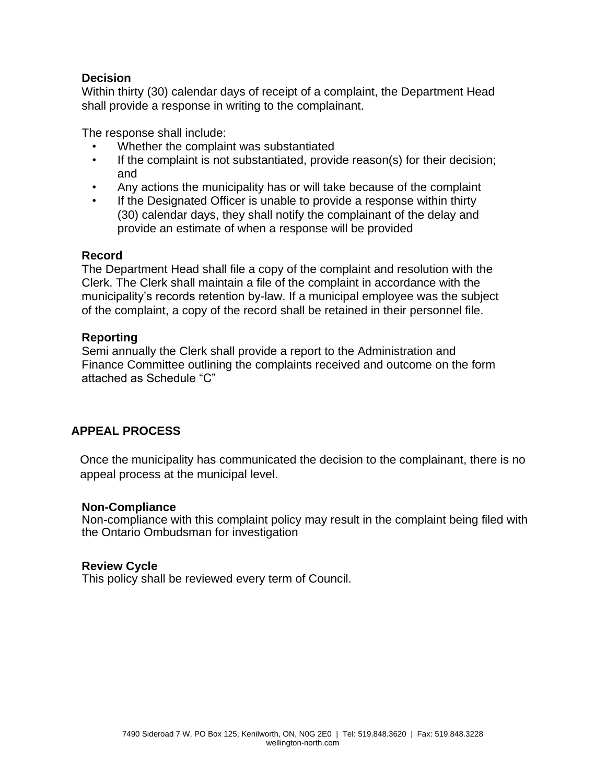#### **Decision**

Within thirty (30) calendar days of receipt of a complaint, the Department Head shall provide a response in writing to the complainant.

The response shall include:

- Whether the complaint was substantiated
- If the complaint is not substantiated, provide reason(s) for their decision; and
- Any actions the municipality has or will take because of the complaint
- If the Designated Officer is unable to provide a response within thirty (30) calendar days, they shall notify the complainant of the delay and provide an estimate of when a response will be provided

#### **Record**

The Department Head shall file a copy of the complaint and resolution with the Clerk. The Clerk shall maintain a file of the complaint in accordance with the municipality's records retention by-law. If a municipal employee was the subject of the complaint, a copy of the record shall be retained in their personnel file.

#### **Reporting**

Semi annually the Clerk shall provide a report to the Administration and Finance Committee outlining the complaints received and outcome on the form attached as Schedule "C"

### <span id="page-3-0"></span>**APPEAL PROCESS**

Once the municipality has communicated the decision to the complainant, there is no appeal process at the municipal level.

#### **Non-Compliance**

Non-compliance with this complaint policy may result in the complaint being filed with the Ontario Ombudsman for investigation

#### **Review Cycle**

This policy shall be reviewed every term of Council.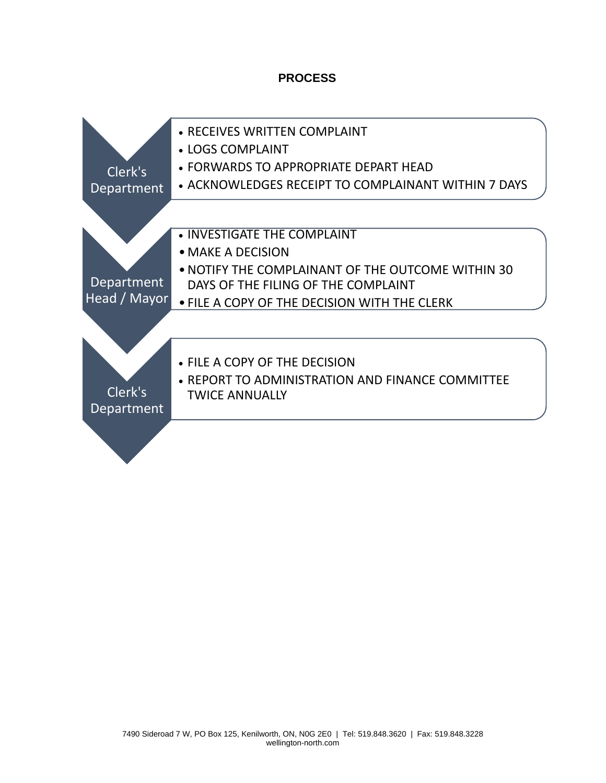#### **PROCESS**

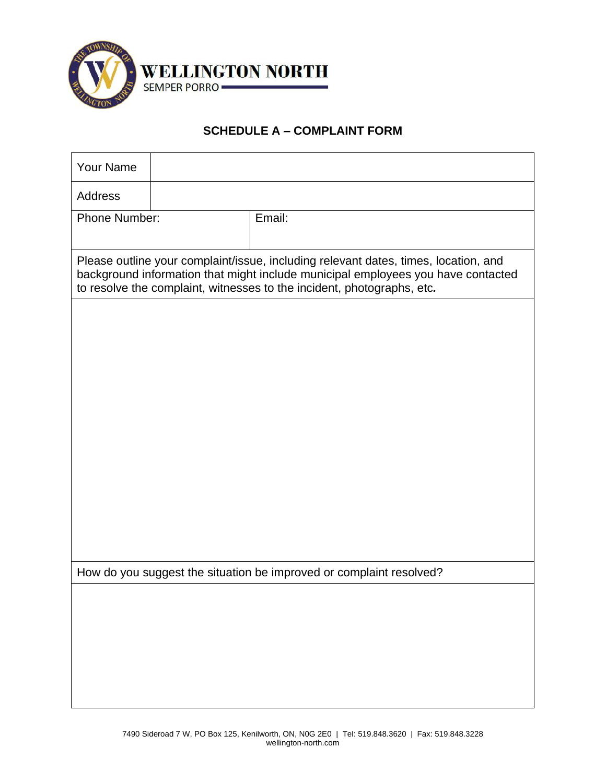

# **SCHEDULE A – COMPLAINT FORM**

<span id="page-5-0"></span>

| <b>Your Name</b>                                                                                                                                                                                                                                  |  |        |  |  |  |  |
|---------------------------------------------------------------------------------------------------------------------------------------------------------------------------------------------------------------------------------------------------|--|--------|--|--|--|--|
| <b>Address</b>                                                                                                                                                                                                                                    |  |        |  |  |  |  |
| Phone Number:                                                                                                                                                                                                                                     |  | Email: |  |  |  |  |
| Please outline your complaint/issue, including relevant dates, times, location, and<br>background information that might include municipal employees you have contacted<br>to resolve the complaint, witnesses to the incident, photographs, etc. |  |        |  |  |  |  |
|                                                                                                                                                                                                                                                   |  |        |  |  |  |  |
|                                                                                                                                                                                                                                                   |  |        |  |  |  |  |
|                                                                                                                                                                                                                                                   |  |        |  |  |  |  |
|                                                                                                                                                                                                                                                   |  |        |  |  |  |  |
|                                                                                                                                                                                                                                                   |  |        |  |  |  |  |
|                                                                                                                                                                                                                                                   |  |        |  |  |  |  |
|                                                                                                                                                                                                                                                   |  |        |  |  |  |  |
| How do you suggest the situation be improved or complaint resolved?                                                                                                                                                                               |  |        |  |  |  |  |
|                                                                                                                                                                                                                                                   |  |        |  |  |  |  |
|                                                                                                                                                                                                                                                   |  |        |  |  |  |  |
|                                                                                                                                                                                                                                                   |  |        |  |  |  |  |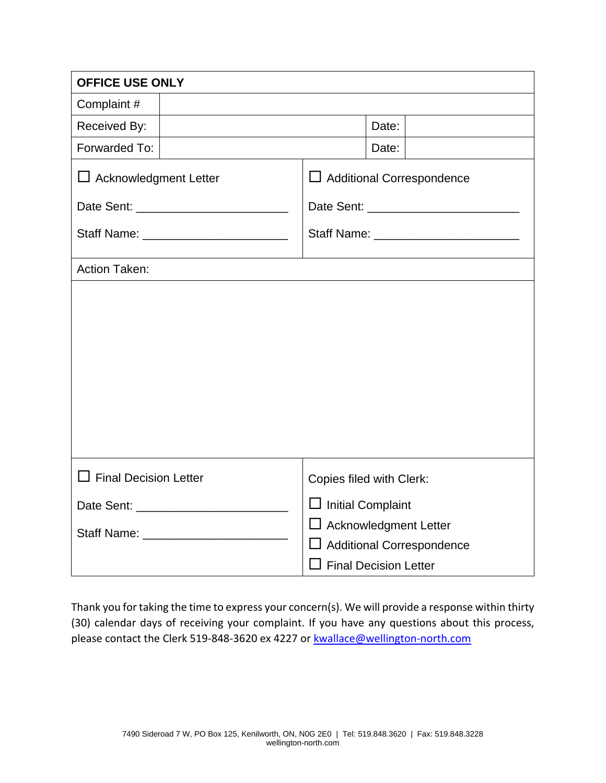| <b>OFFICE USE ONLY</b>                  |                                  |                              |  |  |  |
|-----------------------------------------|----------------------------------|------------------------------|--|--|--|
| Complaint#                              |                                  |                              |  |  |  |
| Received By:                            |                                  | Date:                        |  |  |  |
| Forwarded To:                           |                                  | Date:                        |  |  |  |
| $\Box$ Acknowledgment Letter            | $\Box$ Additional Correspondence |                              |  |  |  |
|                                         |                                  |                              |  |  |  |
| Staff Name: _________________________   |                                  |                              |  |  |  |
| Action Taken:                           |                                  |                              |  |  |  |
|                                         |                                  |                              |  |  |  |
| $\Box$ Final Decision Letter            | Copies filed with Clerk:         |                              |  |  |  |
|                                         | $\Box$ Initial Complaint         |                              |  |  |  |
| Staff Name: ___________________________ | $\Box$ Acknowledgment Letter     |                              |  |  |  |
|                                         | $\Box$ Additional Correspondence |                              |  |  |  |
|                                         |                                  | <b>Final Decision Letter</b> |  |  |  |

Thank you for taking the time to express your concern(s). We will provide a response within thirty (30) calendar days of receiving your complaint. If you have any questions about this process, please contact the Clerk 519-848-3620 ex 4227 or [kwallace@wellington-north.com](mailto:kwallace@wellington-north.com)